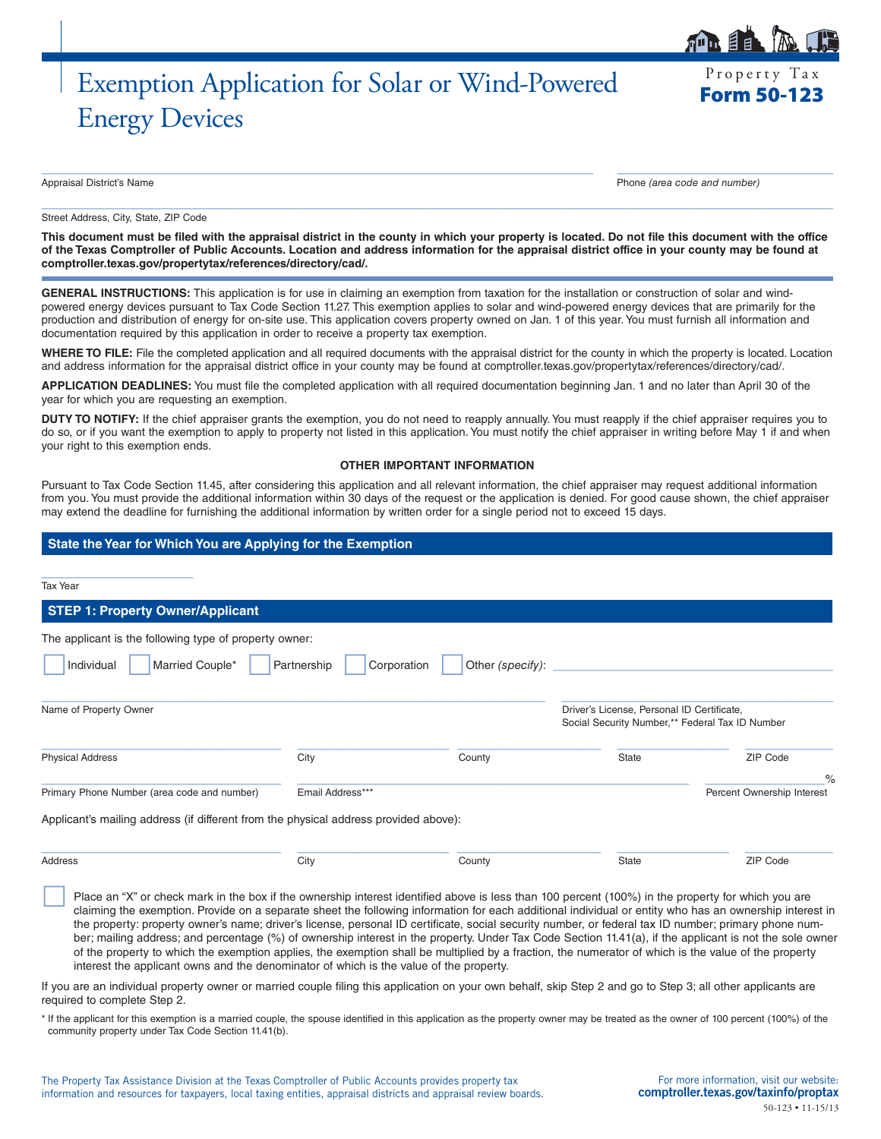# Exemption Application for Solar or Wind-Powered Energy Devices

Property Tax

Appraisal District's Name Phone *(area code and number)*

Street Address, City, State, ZIP Code

**This document must be filed with the appraisal district in the county in which your property is located. Do not file this document with the office of the Texas Comptroller of Public Accounts. Location and address information for the appraisal district office in your county may be found at [comptroller.texas.gov/propertytax/references/directory/cad/.](http://comptroller.texas.gov/propertytax/references/directory/cad/)**

 $\_$  ,  $\_$  ,  $\_$  ,  $\_$  ,  $\_$  ,  $\_$  ,  $\_$  ,  $\_$  ,  $\_$  ,  $\_$  ,  $\_$  ,  $\_$  ,  $\_$  ,  $\_$  ,  $\_$  ,  $\_$  ,  $\_$  ,  $\_$  ,  $\_$  ,  $\_$  ,  $\_$  ,  $\_$  ,  $\_$  ,  $\_$  ,  $\_$  ,  $\_$  ,  $\_$  ,  $\_$  ,  $\_$  ,  $\_$  ,  $\_$  ,  $\_$  ,  $\_$  ,  $\_$  ,  $\_$  ,  $\_$  ,  $\_$  ,

 $\_$  ,  $\_$  ,  $\_$  ,  $\_$  ,  $\_$  ,  $\_$  ,  $\_$  ,  $\_$  ,  $\_$  ,  $\_$  ,  $\_$  ,  $\_$  ,  $\_$  ,  $\_$  ,  $\_$  ,  $\_$  ,  $\_$  ,  $\_$  ,  $\_$  ,  $\_$  ,  $\_$  ,  $\_$  ,  $\_$  ,  $\_$  ,  $\_$  ,  $\_$  ,  $\_$  ,  $\_$  ,  $\_$  ,  $\_$  ,  $\_$  ,  $\_$  ,  $\_$  ,  $\_$  ,  $\_$  ,  $\_$  ,  $\_$  ,

**GENERAL INSTRUCTIONS:** This application is for use in claiming an exemption from taxation for the installation or construction of solar and windpowered energy devices pursuant to Tax Code Section 11.27. This exemption applies to solar and wind-powered energy devices that are primarily for the production and distribution of energy for on-site use. This application covers property owned on Jan. 1 of this year. You must furnish all information and documentation required by this application in order to receive a property tax exemption.

**WHERE TO FILE:** File the completed application and all required documents with the appraisal district for the county in which the property is located. Location and address information for the appraisal district office in your county may be found at [comptroller.texas.gov/propertytax/references/directory/cad/](http://comptroller.texas.gov/propertytax/references/directory/cad/).

**APPLICATION DEADLINES:** You must file the completed application with all required documentation beginning Jan. 1 and no later than April 30 of the year for which you are requesting an exemption.

DUTY TO NOTIFY: If the chief appraiser grants the exemption, you do not need to reapply annually. You must reapply if the chief appraiser requires you to do so, or if you want the exemption to apply to property not listed in this application. You must notify the chief appraiser in writing before May 1 if and when your right to this exemption ends.

#### **OTHER IMPORTANT INFORMATION**

Pursuant to Tax Code Section 11.45, after considering this application and all relevant information, the chief appraiser may request additional information from you. You must provide the additional information within 30 days of the request or the application is denied. For good cause shown, the chief appraiser may extend the deadline for furnishing the additional information by written order for a single period not to exceed 15 days.

# **State the Year for Which You are Applying for the Exemption**

Tax Year

# **STEP 1: Property Owner/Applicant**

\_\_\_\_\_\_\_\_\_\_\_\_\_\_\_\_\_\_\_

| The applicant is the following type of property owner:                               |                  |                                 |                                                                                               |                                    |
|--------------------------------------------------------------------------------------|------------------|---------------------------------|-----------------------------------------------------------------------------------------------|------------------------------------|
| Married Couple*<br>Individual                                                        | Partnership      | Other (specify):<br>Corporation |                                                                                               |                                    |
| Name of Property Owner                                                               |                  |                                 | Driver's License, Personal ID Certificate,<br>Social Security Number,** Federal Tax ID Number |                                    |
| <b>Physical Address</b>                                                              | City             | County                          | State                                                                                         | ZIP Code                           |
| Primary Phone Number (area code and number)                                          | Email Address*** |                                 |                                                                                               | $\%$<br>Percent Ownership Interest |
| Applicant's mailing address (if different from the physical address provided above): |                  |                                 |                                                                                               |                                    |
| Address                                                                              | City             | County                          | State                                                                                         | ZIP Code                           |

Place an "X" or check mark in the box if the ownership interest identified above is less than 100 percent (100%) in the property for which you are claiming the exemption. Provide on a separate sheet the following information for each additional individual or entity who has an ownership interest in the property: property owner's name; driver's license, personal ID certificate, social security number, or federal tax ID number; primary phone number; mailing address; and percentage (%) of ownership interest in the property. Under Tax Code Section 11.41(a), if the applicant is not the sole owner of the property to which the exemption applies, the exemption shall be multiplied by a fraction, the numerator of which is the value of the property interest the applicant owns and the denominator of which is the value of the property.

If you are an individual property owner or married couple filing this application on your own behalf, skip Step 2 and go to Step 3; all other applicants are required to complete Step 2.

\* If the applicant for this exemption is a married couple, the spouse identified in this application as the property owner may be treated as the owner of 100 percent (100%) of the community property under Tax Code Section 11.41(b).